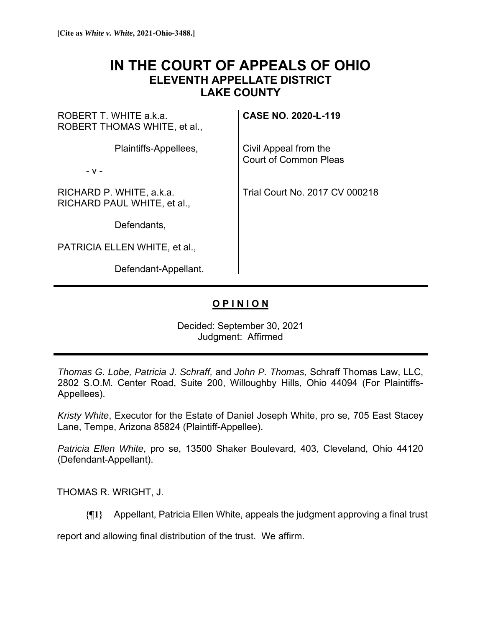## **IN THE COURT OF APPEALS OF OHIO ELEVENTH APPELLATE DISTRICT LAKE COUNTY**

ROBERT T. WHITE a.k.a. ROBERT THOMAS WHITE, et al.,

Plaintiffs-Appellees,

- v -

RICHARD P. WHITE, a.k.a. RICHARD PAUL WHITE, et al.,

Defendants,

PATRICIA ELLEN WHITE, et al.,

Defendant-Appellant.

**CASE NO. 2020-L-119**

Civil Appeal from the Court of Common Pleas

Trial Court No. 2017 CV 000218

## **O P I N I O N**

Decided: September 30, 2021 Judgment: Affirmed

*Thomas G. Lobe, Patricia J. Schraff,* and *John P. Thomas,* Schraff Thomas Law, LLC, 2802 S.O.M. Center Road, Suite 200, Willoughby Hills, Ohio 44094 (For Plaintiffs-Appellees).

*Kristy White*, Executor for the Estate of Daniel Joseph White, pro se, 705 East Stacey Lane, Tempe, Arizona 85824 (Plaintiff-Appellee).

*Patricia Ellen White*, pro se, 13500 Shaker Boulevard, 403, Cleveland, Ohio 44120 (Defendant-Appellant).

THOMAS R. WRIGHT, J.

**{¶1}** Appellant, Patricia Ellen White, appeals the judgment approving a final trust

report and allowing final distribution of the trust. We affirm.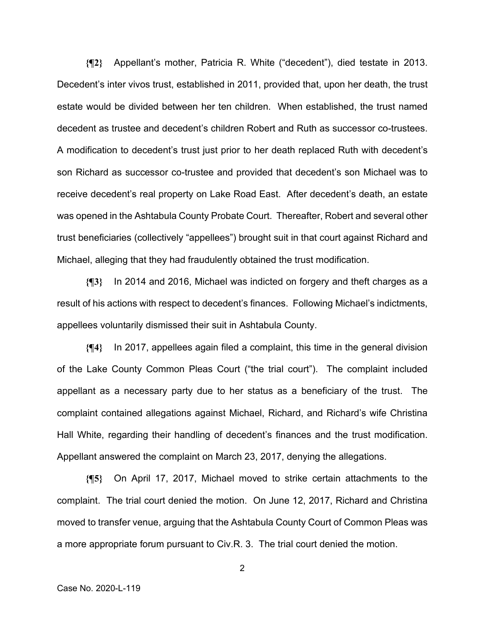**{¶2}** Appellant's mother, Patricia R. White ("decedent"), died testate in 2013. Decedent's inter vivos trust, established in 2011, provided that, upon her death, the trust estate would be divided between her ten children. When established, the trust named decedent as trustee and decedent's children Robert and Ruth as successor co-trustees. A modification to decedent's trust just prior to her death replaced Ruth with decedent's son Richard as successor co-trustee and provided that decedent's son Michael was to receive decedent's real property on Lake Road East. After decedent's death, an estate was opened in the Ashtabula County Probate Court. Thereafter, Robert and several other trust beneficiaries (collectively "appellees") brought suit in that court against Richard and Michael, alleging that they had fraudulently obtained the trust modification.

**{¶3}** In 2014 and 2016, Michael was indicted on forgery and theft charges as a result of his actions with respect to decedent's finances. Following Michael's indictments, appellees voluntarily dismissed their suit in Ashtabula County.

**{¶4}** In 2017, appellees again filed a complaint, this time in the general division of the Lake County Common Pleas Court ("the trial court"). The complaint included appellant as a necessary party due to her status as a beneficiary of the trust. The complaint contained allegations against Michael, Richard, and Richard's wife Christina Hall White, regarding their handling of decedent's finances and the trust modification. Appellant answered the complaint on March 23, 2017, denying the allegations.

**{¶5}** On April 17, 2017, Michael moved to strike certain attachments to the complaint. The trial court denied the motion. On June 12, 2017, Richard and Christina moved to transfer venue, arguing that the Ashtabula County Court of Common Pleas was a more appropriate forum pursuant to Civ.R. 3. The trial court denied the motion.

2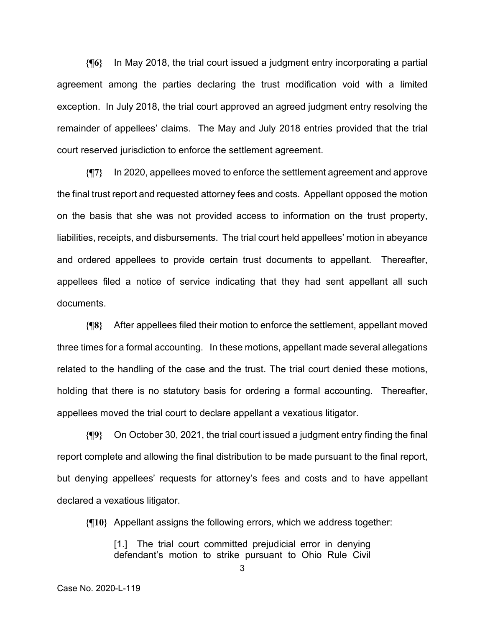**{¶6}** In May 2018, the trial court issued a judgment entry incorporating a partial agreement among the parties declaring the trust modification void with a limited exception. In July 2018, the trial court approved an agreed judgment entry resolving the remainder of appellees' claims. The May and July 2018 entries provided that the trial court reserved jurisdiction to enforce the settlement agreement.

**{¶7}** In 2020, appellees moved to enforce the settlement agreement and approve the final trust report and requested attorney fees and costs. Appellant opposed the motion on the basis that she was not provided access to information on the trust property, liabilities, receipts, and disbursements. The trial court held appellees' motion in abeyance and ordered appellees to provide certain trust documents to appellant. Thereafter, appellees filed a notice of service indicating that they had sent appellant all such documents.

**{¶8}** After appellees filed their motion to enforce the settlement, appellant moved three times for a formal accounting. In these motions, appellant made several allegations related to the handling of the case and the trust. The trial court denied these motions, holding that there is no statutory basis for ordering a formal accounting. Thereafter, appellees moved the trial court to declare appellant a vexatious litigator.

**{¶9}** On October 30, 2021, the trial court issued a judgment entry finding the final report complete and allowing the final distribution to be made pursuant to the final report, but denying appellees' requests for attorney's fees and costs and to have appellant declared a vexatious litigator.

**{¶10}** Appellant assigns the following errors, which we address together:

[1.] The trial court committed prejudicial error in denying defendant's motion to strike pursuant to Ohio Rule Civil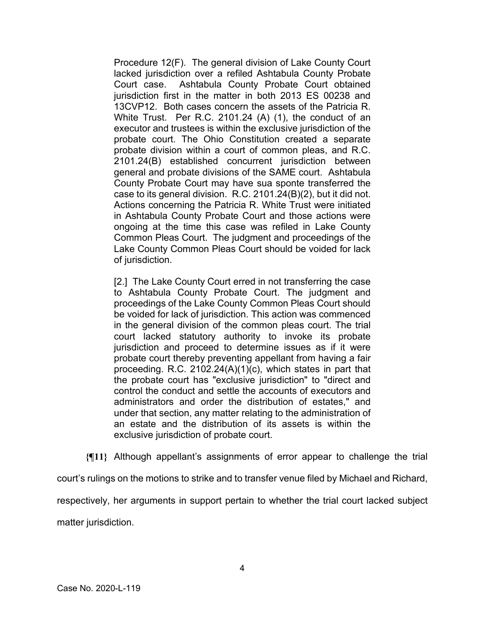Procedure 12(F). The general division of Lake County Court lacked jurisdiction over a refiled Ashtabula County Probate Court case. Ashtabula County Probate Court obtained jurisdiction first in the matter in both 2013 ES 00238 and 13CVP12. Both cases concern the assets of the Patricia R. White Trust. Per R.C. 2101.24 (A) (1), the conduct of an executor and trustees is within the exclusive jurisdiction of the probate court. The Ohio Constitution created a separate probate division within a court of common pleas, and R.C. 2101.24(B) established concurrent jurisdiction between general and probate divisions of the SAME court. Ashtabula County Probate Court may have sua sponte transferred the case to its general division. R.C. 2101.24(B)(2), but it did not. Actions concerning the Patricia R. White Trust were initiated in Ashtabula County Probate Court and those actions were ongoing at the time this case was refiled in Lake County Common Pleas Court. The judgment and proceedings of the Lake County Common Pleas Court should be voided for lack of jurisdiction.

[2.] The Lake County Court erred in not transferring the case to Ashtabula County Probate Court. The judgment and proceedings of the Lake County Common Pleas Court should be voided for lack of jurisdiction. This action was commenced in the general division of the common pleas court. The trial court lacked statutory authority to invoke its probate jurisdiction and proceed to determine issues as if it were probate court thereby preventing appellant from having a fair proceeding. R.C. 2102.24(A)(1)(c), which states in part that the probate court has "exclusive jurisdiction" to "direct and control the conduct and settle the accounts of executors and administrators and order the distribution of estates," and under that section, any matter relating to the administration of an estate and the distribution of its assets is within the exclusive jurisdiction of probate court.

**{¶11}** Although appellant's assignments of error appear to challenge the trial

court's rulings on the motions to strike and to transfer venue filed by Michael and Richard,

respectively, her arguments in support pertain to whether the trial court lacked subject

matter jurisdiction.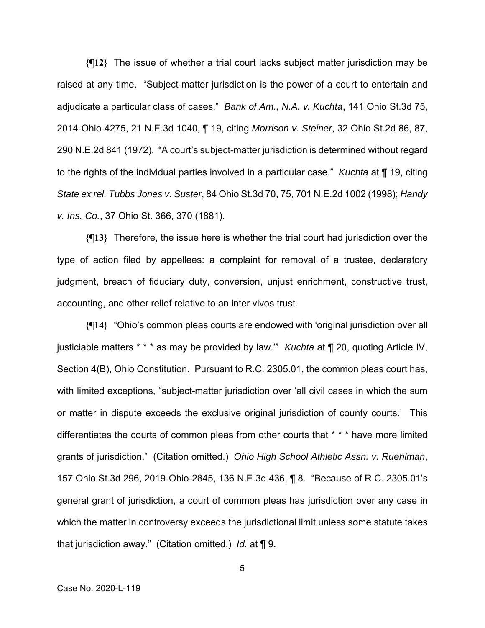**{¶12}** The issue of whether a trial court lacks subject matter jurisdiction may be raised at any time. "Subject-matter jurisdiction is the power of a court to entertain and adjudicate a particular class of cases." *Bank of Am., N.A. v. Kuchta*, 141 Ohio St.3d 75, 2014-Ohio-4275, 21 N.E.3d 1040, ¶ 19, citing *Morrison v. Steiner*, 32 Ohio St.2d 86, 87, 290 N.E.2d 841 (1972). "A court's subject-matter jurisdiction is determined without regard to the rights of the individual parties involved in a particular case." *Kuchta* at ¶ 19, citing *State ex rel. Tubbs Jones v. Suster*, 84 Ohio St.3d 70, 75, 701 N.E.2d 1002 (1998); *Handy v. Ins. Co.*, 37 Ohio St. 366, 370 (1881).

**{¶13}** Therefore, the issue here is whether the trial court had jurisdiction over the type of action filed by appellees: a complaint for removal of a trustee, declaratory judgment, breach of fiduciary duty, conversion, unjust enrichment, constructive trust, accounting, and other relief relative to an inter vivos trust.

**{¶14}** "Ohio's common pleas courts are endowed with 'original jurisdiction over all justiciable matters \* \* \* as may be provided by law.'" *Kuchta* at ¶ 20, quoting Article IV, Section 4(B), Ohio Constitution. Pursuant to R.C. 2305.01, the common pleas court has, with limited exceptions, "subject-matter jurisdiction over 'all civil cases in which the sum or matter in dispute exceeds the exclusive original jurisdiction of county courts.' This differentiates the courts of common pleas from other courts that \* \* \* have more limited grants of jurisdiction." (Citation omitted.) *Ohio High School Athletic Assn. v. Ruehlman*, 157 Ohio St.3d 296, 2019-Ohio-2845, 136 N.E.3d 436, ¶ 8. "Because of R.C. 2305.01's general grant of jurisdiction, a court of common pleas has jurisdiction over any case in which the matter in controversy exceeds the jurisdictional limit unless some statute takes that jurisdiction away." (Citation omitted.) *Id.* at ¶ 9.

5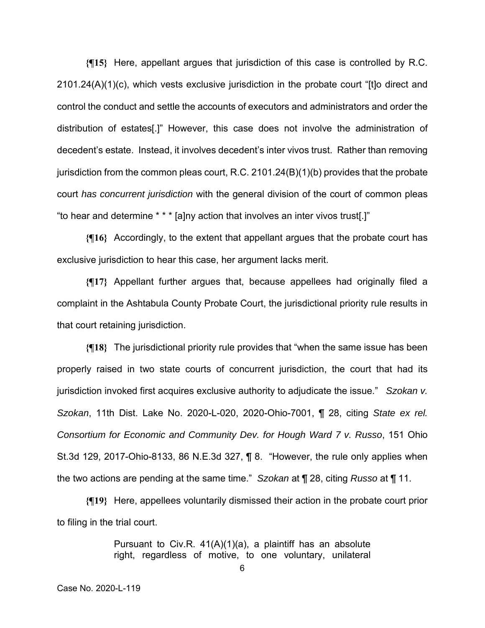**{¶15}** Here, appellant argues that jurisdiction of this case is controlled by R.C. 2101.24(A)(1)(c), which vests exclusive jurisdiction in the probate court "[t]o direct and control the conduct and settle the accounts of executors and administrators and order the distribution of estates[.]" However, this case does not involve the administration of decedent's estate. Instead, it involves decedent's inter vivos trust. Rather than removing jurisdiction from the common pleas court, R.C. 2101.24(B)(1)(b) provides that the probate court *has concurrent jurisdiction* with the general division of the court of common pleas "to hear and determine \* \* \* [a]ny action that involves an inter vivos trust[.]"

**{¶16}** Accordingly, to the extent that appellant argues that the probate court has exclusive jurisdiction to hear this case, her argument lacks merit.

**{¶17}** Appellant further argues that, because appellees had originally filed a complaint in the Ashtabula County Probate Court, the jurisdictional priority rule results in that court retaining jurisdiction.

**{¶18}** The jurisdictional priority rule provides that "when the same issue has been properly raised in two state courts of concurrent jurisdiction, the court that had its jurisdiction invoked first acquires exclusive authority to adjudicate the issue." *Szokan v. Szokan*, 11th Dist. Lake No. 2020-L-020, 2020-Ohio-7001, ¶ 28, citing *State ex rel. Consortium for Economic and Community Dev. for Hough Ward 7 v. Russo*, 151 Ohio St.3d 129, 2017-Ohio-8133, 86 N.E.3d 327, ¶ 8. "However, the rule only applies when the two actions are pending at the same time." *Szokan* at ¶ 28, citing *Russo* at ¶ 11.

**{¶19}** Here, appellees voluntarily dismissed their action in the probate court prior to filing in the trial court.

> Pursuant to Civ.R.  $41(A)(1)(a)$ , a plaintiff has an absolute right, regardless of motive, to one voluntary, unilateral